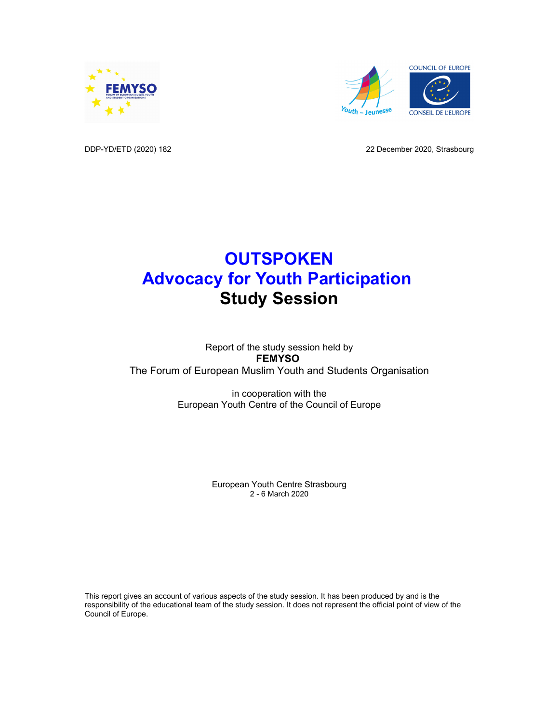



DDP-YD/ETD (2020) 182 22 December 2020, Strasbourg

# **OUTSPOKEN Advocacy for Youth Participation Study Session**

## Report of the study session held by **FEMYSO** The Forum of European Muslim Youth and Students Organisation

in cooperation with the European Youth Centre of the Council of Europe

> European Youth Centre Strasbourg 2 - 6 March 2020

This report gives an account of various aspects of the study session. It has been produced by and is the responsibility of the educational team of the study session. It does not represent the official point of view of the Council of Europe.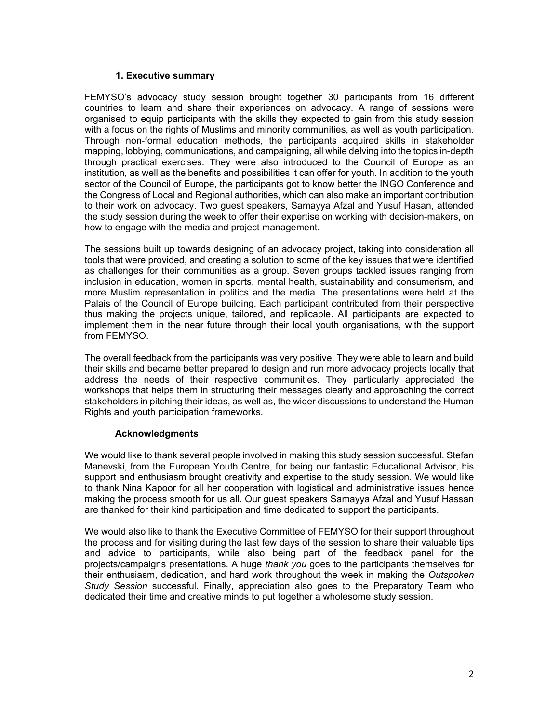#### **1. Executive summary**

FEMYSO's advocacy study session brought together 30 participants from 16 different countries to learn and share their experiences on advocacy. A range of sessions were organised to equip participants with the skills they expected to gain from this study session with a focus on the rights of Muslims and minority communities, as well as youth participation. Through non-formal education methods, the participants acquired skills in stakeholder mapping, lobbying, communications, and campaigning, all while delving into the topics in-depth through practical exercises. They were also introduced to the Council of Europe as an institution, as well as the benefits and possibilities it can offer for youth. In addition to the youth sector of the Council of Europe, the participants got to know better the INGO Conference and the Congress of Local and Regional authorities, which can also make an important contribution to their work on advocacy. Two guest speakers, Samayya Afzal and Yusuf Hasan, attended the study session during the week to offer their expertise on working with decision-makers, on how to engage with the media and project management.

The sessions built up towards designing of an advocacy project, taking into consideration all tools that were provided, and creating a solution to some of the key issues that were identified as challenges for their communities as a group. Seven groups tackled issues ranging from inclusion in education, women in sports, mental health, sustainability and consumerism, and more Muslim representation in politics and the media. The presentations were held at the Palais of the Council of Europe building. Each participant contributed from their perspective thus making the projects unique, tailored, and replicable. All participants are expected to implement them in the near future through their local youth organisations, with the support from FEMYSO.

The overall feedback from the participants was very positive. They were able to learn and build their skills and became better prepared to design and run more advocacy projects locally that address the needs of their respective communities. They particularly appreciated the workshops that helps them in structuring their messages clearly and approaching the correct stakeholders in pitching their ideas, as well as, the wider discussions to understand the Human Rights and youth participation frameworks.

## **Acknowledgments**

We would like to thank several people involved in making this study session successful. Stefan Manevski, from the European Youth Centre, for being our fantastic Educational Advisor, his support and enthusiasm brought creativity and expertise to the study session. We would like to thank Nina Kapoor for all her cooperation with logistical and administrative issues hence making the process smooth for us all. Our guest speakers Samayya Afzal and Yusuf Hassan are thanked for their kind participation and time dedicated to support the participants.

We would also like to thank the Executive Committee of FEMYSO for their support throughout the process and for visiting during the last few days of the session to share their valuable tips and advice to participants, while also being part of the feedback panel for the projects/campaigns presentations. A huge *thank you* goes to the participants themselves for their enthusiasm, dedication, and hard work throughout the week in making the *Outspoken Study Session* successful. Finally, appreciation also goes to the Preparatory Team who dedicated their time and creative minds to put together a wholesome study session.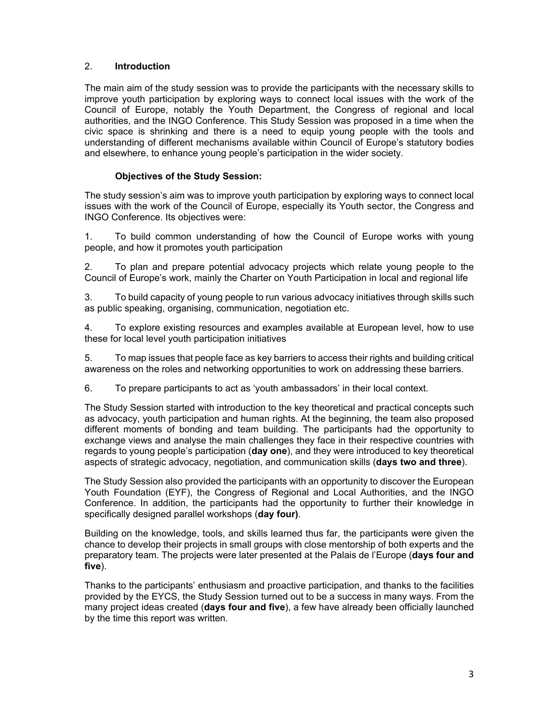## 2. **Introduction**

The main aim of the study session was to provide the participants with the necessary skills to improve youth participation by exploring ways to connect local issues with the work of the Council of Europe, notably the Youth Department, the Congress of regional and local authorities, and the INGO Conference. This Study Session was proposed in a time when the civic space is shrinking and there is a need to equip young people with the tools and understanding of different mechanisms available within Council of Europe's statutory bodies and elsewhere, to enhance young people's participation in the wider society.

## **Objectives of the Study Session:**

The study session's aim was to improve youth participation by exploring ways to connect local issues with the work of the Council of Europe, especially its Youth sector, the Congress and INGO Conference. Its objectives were:

1. To build common understanding of how the Council of Europe works with young people, and how it promotes youth participation

2. To plan and prepare potential advocacy projects which relate young people to the Council of Europe's work, mainly the Charter on Youth Participation in local and regional life

3. To build capacity of young people to run various advocacy initiatives through skills such as public speaking, organising, communication, negotiation etc.

4. To explore existing resources and examples available at European level, how to use these for local level youth participation initiatives

5. To map issues that people face as key barriers to access their rights and building critical awareness on the roles and networking opportunities to work on addressing these barriers.

6. To prepare participants to act as 'youth ambassadors' in their local context.

The Study Session started with introduction to the key theoretical and practical concepts such as advocacy, youth participation and human rights. At the beginning, the team also proposed different moments of bonding and team building. The participants had the opportunity to exchange views and analyse the main challenges they face in their respective countries with regards to young people's participation (**day one**), and they were introduced to key theoretical aspects of strategic advocacy, negotiation, and communication skills (**days two and three**).

The Study Session also provided the participants with an opportunity to discover the European Youth Foundation (EYF), the Congress of Regional and Local Authorities, and the INGO Conference. In addition, the participants had the opportunity to further their knowledge in specifically designed parallel workshops (**day four)**.

Building on the knowledge, tools, and skills learned thus far, the participants were given the chance to develop their projects in small groups with close mentorship of both experts and the preparatory team. The projects were later presented at the Palais de l'Europe (**days four and five**).

Thanks to the participants' enthusiasm and proactive participation, and thanks to the facilities provided by the EYCS, the Study Session turned out to be a success in many ways. From the many project ideas created (**days four and five**), a few have already been officially launched by the time this report was written.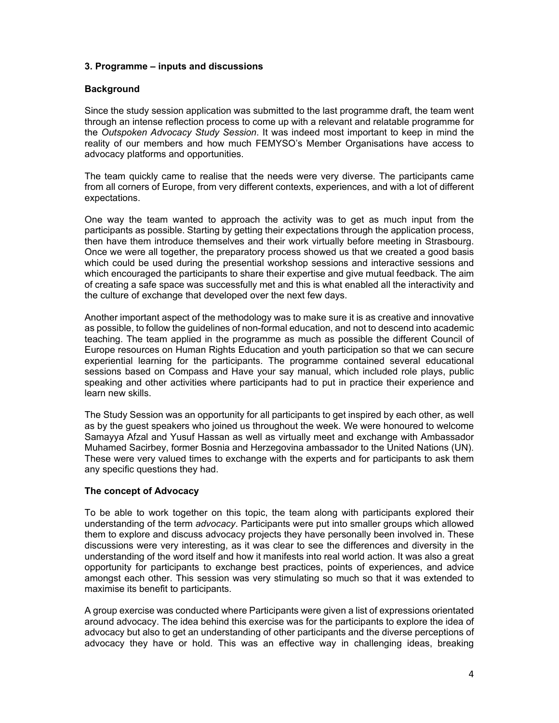#### **3. Programme – inputs and discussions**

#### **Background**

Since the study session application was submitted to the last programme draft, the team went through an intense reflection process to come up with a relevant and relatable programme for the *Outspoken Advocacy Study Session*. It was indeed most important to keep in mind the reality of our members and how much FEMYSO's Member Organisations have access to advocacy platforms and opportunities.

The team quickly came to realise that the needs were very diverse. The participants came from all corners of Europe, from very different contexts, experiences, and with a lot of different expectations.

One way the team wanted to approach the activity was to get as much input from the participants as possible. Starting by getting their expectations through the application process, then have them introduce themselves and their work virtually before meeting in Strasbourg. Once we were all together, the preparatory process showed us that we created a good basis which could be used during the presential workshop sessions and interactive sessions and which encouraged the participants to share their expertise and give mutual feedback. The aim of creating a safe space was successfully met and this is what enabled all the interactivity and the culture of exchange that developed over the next few days.

Another important aspect of the methodology was to make sure it is as creative and innovative as possible, to follow the guidelines of non-formal education, and not to descend into academic teaching. The team applied in the programme as much as possible the different Council of Europe resources on Human Rights Education and youth participation so that we can secure experiential learning for the participants. The programme contained several educational sessions based on Compass and Have your say manual, which included role plays, public speaking and other activities where participants had to put in practice their experience and learn new skills.

The Study Session was an opportunity for all participants to get inspired by each other, as well as by the guest speakers who joined us throughout the week. We were honoured to welcome Samayya Afzal and Yusuf Hassan as well as virtually meet and exchange with Ambassador Muhamed Sacirbey, former Bosnia and Herzegovina ambassador to the United Nations (UN). These were very valued times to exchange with the experts and for participants to ask them any specific questions they had.

#### **The concept of Advocacy**

To be able to work together on this topic, the team along with participants explored their understanding of the term *advocacy*. Participants were put into smaller groups which allowed them to explore and discuss advocacy projects they have personally been involved in. These discussions were very interesting, as it was clear to see the differences and diversity in the understanding of the word itself and how it manifests into real world action. It was also a great opportunity for participants to exchange best practices, points of experiences, and advice amongst each other. This session was very stimulating so much so that it was extended to maximise its benefit to participants.

A group exercise was conducted where Participants were given a list of expressions orientated around advocacy. The idea behind this exercise was for the participants to explore the idea of advocacy but also to get an understanding of other participants and the diverse perceptions of advocacy they have or hold. This was an effective way in challenging ideas, breaking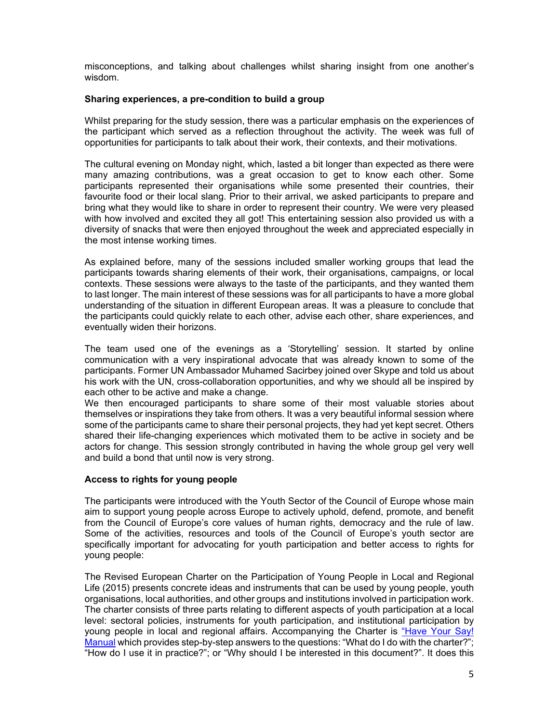misconceptions, and talking about challenges whilst sharing insight from one another's wisdom.

#### **Sharing experiences, a pre-condition to build a group**

Whilst preparing for the study session, there was a particular emphasis on the experiences of the participant which served as a reflection throughout the activity. The week was full of opportunities for participants to talk about their work, their contexts, and their motivations.

The cultural evening on Monday night, which, lasted a bit longer than expected as there were many amazing contributions, was a great occasion to get to know each other. Some participants represented their organisations while some presented their countries, their favourite food or their local slang. Prior to their arrival, we asked participants to prepare and bring what they would like to share in order to represent their country. We were very pleased with how involved and excited they all got! This entertaining session also provided us with a diversity of snacks that were then enjoyed throughout the week and appreciated especially in the most intense working times.

As explained before, many of the sessions included smaller working groups that lead the participants towards sharing elements of their work, their organisations, campaigns, or local contexts. These sessions were always to the taste of the participants, and they wanted them to last longer. The main interest of these sessions was for all participants to have a more global understanding of the situation in different European areas. It was a pleasure to conclude that the participants could quickly relate to each other, advise each other, share experiences, and eventually widen their horizons.

The team used one of the evenings as a 'Storytelling' session. It started by online communication with a very inspirational advocate that was already known to some of the participants. Former UN Ambassador Muhamed Sacirbey joined over Skype and told us about his work with the UN, cross-collaboration opportunities, and why we should all be inspired by each other to be active and make a change.

We then encouraged participants to share some of their most valuable stories about themselves or inspirations they take from others. It was a very beautiful informal session where some of the participants came to share their personal projects, they had yet kept secret. Others shared their life-changing experiences which motivated them to be active in society and be actors for change. This session strongly contributed in having the whole group gel very well and build a bond that until now is very strong.

## **Access to rights for young people**

The participants were introduced with the Youth Sector of the Council of Europe whose main aim to support young people across Europe to actively uphold, defend, promote, and benefit from the Council of Europe's core values of human rights, democracy and the rule of law. Some of the activities, resources and tools of the Council of Europe's youth sector are specifically important for advocating for youth participation and better access to rights for young people:

The Revised European Charter on the Participation of Young People in Local and Regional Life (2015) presents concrete ideas and instruments that can be used by young people, youth organisations, local authorities, and other groups and institutions involved in participation work. The charter consists of three parts relating to different aspects of youth participation at a local level: sectoral policies, instruments for youth participation, and institutional participation by young people in local and regional affairs. Accompanying the Charter is "Have Your Say! Manual which provides step-by-step answers to the questions: "What do I do with the charter?"; "How do I use it in practice?"; or "Why should I be interested in this document?". It does this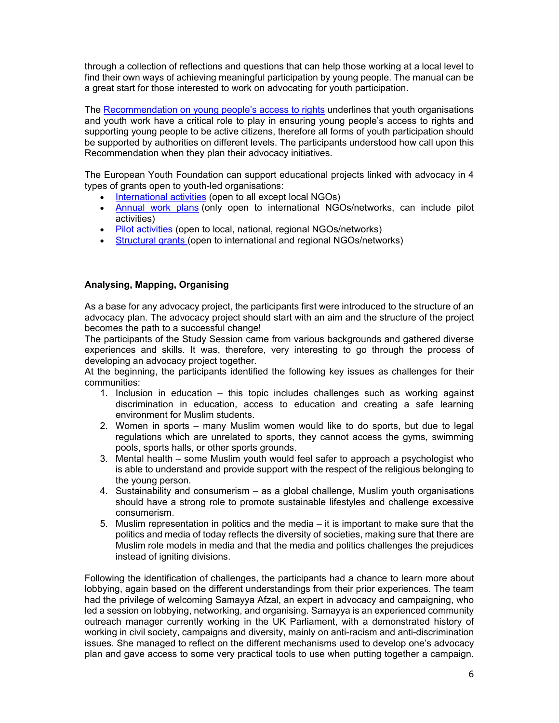through a collection of reflections and questions that can help those working at a local level to find their own ways of achieving meaningful participation by young people. The manual can be a great start for those interested to work on advocating for youth participation.

The Recommendation on young people's access to rights underlines that youth organisations and youth work have a critical role to play in ensuring young people's access to rights and supporting young people to be active citizens, therefore all forms of youth participation should be supported by authorities on different levels. The participants understood how call upon this Recommendation when they plan their advocacy initiatives.

The European Youth Foundation can support educational projects linked with advocacy in 4 types of grants open to youth-led organisations:

- International activities (open to all except local NGOs)
- Annual work plans (only open to international NGOs/networks, can include pilot activities)
- Pilot activities (open to local, national, regional NGOs/networks)
- Structural grants (open to international and regional NGOs/networks)

#### **Analysing, Mapping, Organising**

As a base for any advocacy project, the participants first were introduced to the structure of an advocacy plan. The advocacy project should start with an aim and the structure of the project becomes the path to a successful change!

The participants of the Study Session came from various backgrounds and gathered diverse experiences and skills. It was, therefore, very interesting to go through the process of developing an advocacy project together.

At the beginning, the participants identified the following key issues as challenges for their communities:

- 1. Inclusion in education this topic includes challenges such as working against discrimination in education, access to education and creating a safe learning environment for Muslim students.
- 2. Women in sports many Muslim women would like to do sports, but due to legal regulations which are unrelated to sports, they cannot access the gyms, swimming pools, sports halls, or other sports grounds.
- 3. Mental health some Muslim youth would feel safer to approach a psychologist who is able to understand and provide support with the respect of the religious belonging to the young person.
- 4. Sustainability and consumerism as a global challenge, Muslim youth organisations should have a strong role to promote sustainable lifestyles and challenge excessive consumerism.
- 5. Muslim representation in politics and the media it is important to make sure that the politics and media of today reflects the diversity of societies, making sure that there are Muslim role models in media and that the media and politics challenges the prejudices instead of igniting divisions.

Following the identification of challenges, the participants had a chance to learn more about lobbying, again based on the different understandings from their prior experiences. The team had the privilege of welcoming Samayya Afzal, an expert in advocacy and campaigning, who led a session on lobbying, networking, and organising. Samayya is an experienced community outreach manager currently working in the UK Parliament, with a demonstrated history of working in civil society, campaigns and diversity, mainly on anti-racism and anti-discrimination issues. She managed to reflect on the different mechanisms used to develop one's advocacy plan and gave access to some very practical tools to use when putting together a campaign.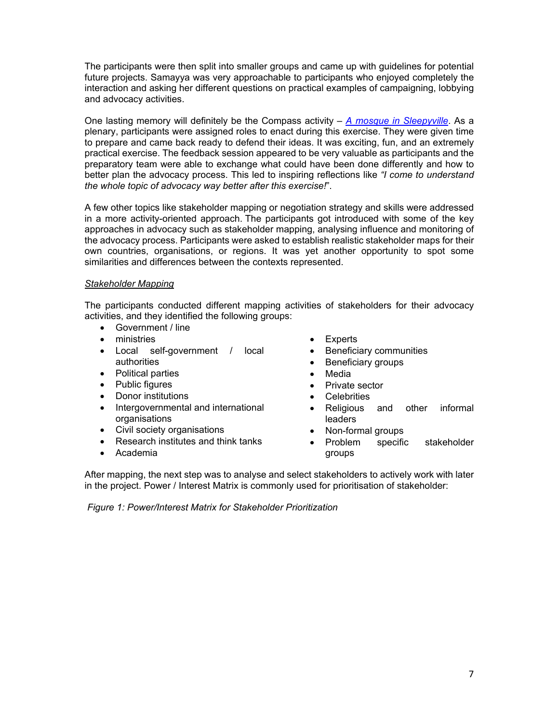The participants were then split into smaller groups and came up with guidelines for potential future projects. Samayya was very approachable to participants who enjoyed completely the interaction and asking her different questions on practical examples of campaigning, lobbying and advocacy activities.

One lasting memory will definitely be the Compass activity – *A mosque in Sleepyville*. As a plenary, participants were assigned roles to enact during this exercise. They were given time to prepare and came back ready to defend their ideas. It was exciting, fun, and an extremely practical exercise. The feedback session appeared to be very valuable as participants and the preparatory team were able to exchange what could have been done differently and how to better plan the advocacy process. This led to inspiring reflections like *"I come to understand the whole topic of advocacy way better after this exercise!*".

A few other topics like stakeholder mapping or negotiation strategy and skills were addressed in a more activity-oriented approach. The participants got introduced with some of the key approaches in advocacy such as stakeholder mapping, analysing influence and monitoring of the advocacy process. Participants were asked to establish realistic stakeholder maps for their own countries, organisations, or regions. It was yet another opportunity to spot some similarities and differences between the contexts represented.

## *Stakeholder Mapping*

The participants conducted different mapping activities of stakeholders for their advocacy activities, and they identified the following groups:

- Government / line
- **•** ministries
- Local self-government / local authorities
- Political parties
- Public figures
- Donor institutions
- Intergovernmental and international organisations
- Civil society organisations
- Research institutes and think tanks
- Academia
- Experts
- Beneficiary communities
- Beneficiary groups
- Media
- Private sector
- **Celebrities**
- Religious and other informal leaders
- Non-formal groups
- Problem specific stakeholder groups

After mapping, the next step was to analyse and select stakeholders to actively work with later in the project. Power / Interest Matrix is commonly used for prioritisation of stakeholder:

 *Figure 1: Power/Interest Matrix for Stakeholder Prioritization*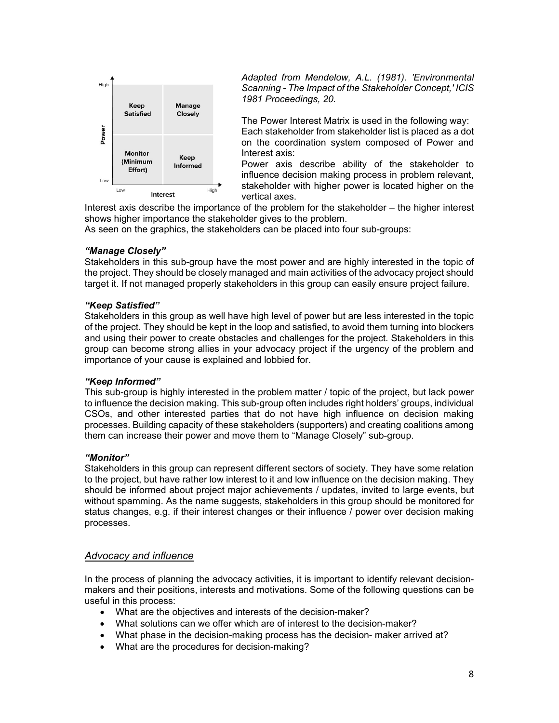

*Adapted from Mendelow, A.L. (1981). 'Environmental Scanning - The Impact of the Stakeholder Concept,' ICIS 1981 Proceedings, 20.* 

The Power Interest Matrix is used in the following way: Each stakeholder from stakeholder list is placed as a dot on the coordination system composed of Power and Interest axis:

Power axis describe ability of the stakeholder to influence decision making process in problem relevant, stakeholder with higher power is located higher on the vertical axes.

Interest axis describe the importance of the problem for the stakeholder – the higher interest shows higher importance the stakeholder gives to the problem.

As seen on the graphics, the stakeholders can be placed into four sub-groups:

## *"Manage Closely"*

Stakeholders in this sub-group have the most power and are highly interested in the topic of the project. They should be closely managed and main activities of the advocacy project should target it. If not managed properly stakeholders in this group can easily ensure project failure.

#### *"Keep Satisfied"*

Stakeholders in this group as well have high level of power but are less interested in the topic of the project. They should be kept in the loop and satisfied, to avoid them turning into blockers and using their power to create obstacles and challenges for the project. Stakeholders in this group can become strong allies in your advocacy project if the urgency of the problem and importance of your cause is explained and lobbied for.

#### *"Keep Informed"*

This sub-group is highly interested in the problem matter / topic of the project, but lack power to influence the decision making. This sub-group often includes right holders' groups, individual CSOs, and other interested parties that do not have high influence on decision making processes. Building capacity of these stakeholders (supporters) and creating coalitions among them can increase their power and move them to "Manage Closely" sub-group.

## *"Monitor"*

Stakeholders in this group can represent different sectors of society. They have some relation to the project, but have rather low interest to it and low influence on the decision making. They should be informed about project major achievements / updates, invited to large events, but without spamming. As the name suggests, stakeholders in this group should be monitored for status changes, e.g. if their interest changes or their influence / power over decision making processes.

## *Advocacy and influence*

In the process of planning the advocacy activities, it is important to identify relevant decisionmakers and their positions, interests and motivations. Some of the following questions can be useful in this process:

- What are the objectives and interests of the decision-maker?
- What solutions can we offer which are of interest to the decision-maker?
- What phase in the decision-making process has the decision- maker arrived at?
- What are the procedures for decision-making?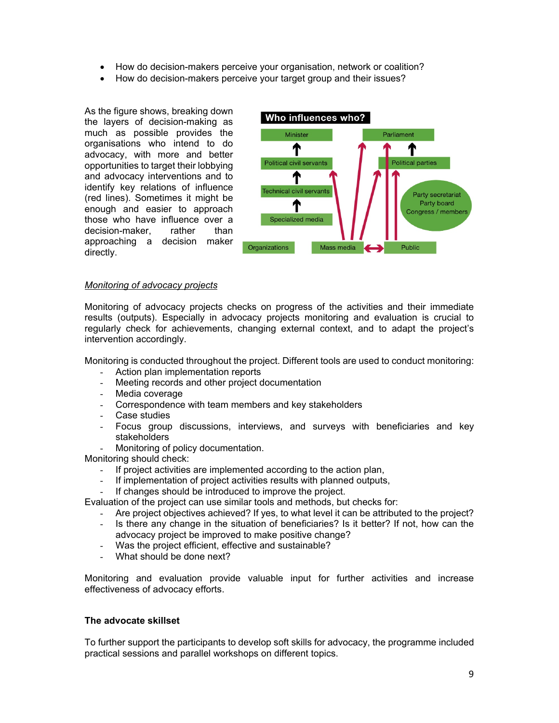- How do decision-makers perceive your organisation, network or coalition?
- How do decision-makers perceive your target group and their issues?

As the figure shows, breaking down the layers of decision-making as much as possible provides the organisations who intend to do advocacy, with more and better opportunities to target their lobbying and advocacy interventions and to identify key relations of influence (red lines). Sometimes it might be enough and easier to approach those who have influence over a decision-maker, rather than approaching a decision maker directly.



#### *Monitoring of advocacy projects*

Monitoring of advocacy projects checks on progress of the activities and their immediate results (outputs). Especially in advocacy projects monitoring and evaluation is crucial to regularly check for achievements, changing external context, and to adapt the project's intervention accordingly.

Monitoring is conducted throughout the project. Different tools are used to conduct monitoring:

- Action plan implementation reports
- Meeting records and other project documentation
- Media coverage
- Correspondence with team members and key stakeholders
- Case studies
- Focus group discussions, interviews, and surveys with beneficiaries and key stakeholders
- Monitoring of policy documentation.

Monitoring should check:

- If project activities are implemented according to the action plan,
- If implementation of project activities results with planned outputs,
- If changes should be introduced to improve the project.

Evaluation of the project can use similar tools and methods, but checks for:

- Are project objectives achieved? If yes, to what level it can be attributed to the project?
- Is there any change in the situation of beneficiaries? Is it better? If not, how can the advocacy project be improved to make positive change?
- Was the project efficient, effective and sustainable?
- What should be done next?

Monitoring and evaluation provide valuable input for further activities and increase effectiveness of advocacy efforts.

#### **The advocate skillset**

To further support the participants to develop soft skills for advocacy, the programme included practical sessions and parallel workshops on different topics.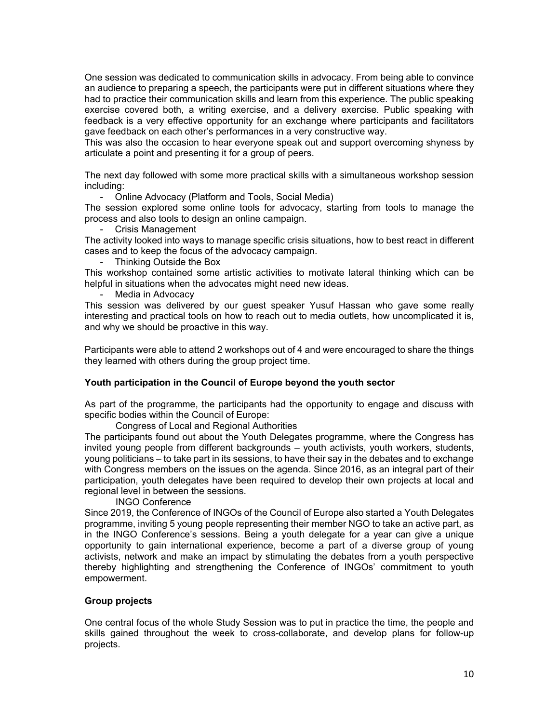One session was dedicated to communication skills in advocacy. From being able to convince an audience to preparing a speech, the participants were put in different situations where they had to practice their communication skills and learn from this experience. The public speaking exercise covered both, a writing exercise, and a delivery exercise. Public speaking with feedback is a very effective opportunity for an exchange where participants and facilitators gave feedback on each other's performances in a very constructive way.

This was also the occasion to hear everyone speak out and support overcoming shyness by articulate a point and presenting it for a group of peers.

The next day followed with some more practical skills with a simultaneous workshop session including:

- Online Advocacy (Platform and Tools, Social Media)

The session explored some online tools for advocacy, starting from tools to manage the process and also tools to design an online campaign.

- Crisis Management

The activity looked into ways to manage specific crisis situations, how to best react in different cases and to keep the focus of the advocacy campaign.

- Thinking Outside the Box

This workshop contained some artistic activities to motivate lateral thinking which can be helpful in situations when the advocates might need new ideas.

Media in Advocacy

This session was delivered by our guest speaker Yusuf Hassan who gave some really interesting and practical tools on how to reach out to media outlets, how uncomplicated it is, and why we should be proactive in this way.

Participants were able to attend 2 workshops out of 4 and were encouraged to share the things they learned with others during the group project time.

#### **Youth participation in the Council of Europe beyond the youth sector**

As part of the programme, the participants had the opportunity to engage and discuss with specific bodies within the Council of Europe:

Congress of Local and Regional Authorities

The participants found out about the Youth Delegates programme, where the Congress has invited young people from different backgrounds – youth activists, youth workers, students, young politicians – to take part in its sessions, to have their say in the debates and to exchange with Congress members on the issues on the agenda. Since 2016, as an integral part of their participation, youth delegates have been required to develop their own projects at local and regional level in between the sessions.

INGO Conference

Since 2019, the Conference of INGOs of the Council of Europe also started a Youth Delegates programme, inviting 5 young people representing their member NGO to take an active part, as in the INGO Conference's sessions. Being a youth delegate for a year can give a unique opportunity to gain international experience, become a part of a diverse group of young activists, network and make an impact by stimulating the debates from a youth perspective thereby highlighting and strengthening the Conference of INGOs' commitment to youth empowerment.

#### **Group projects**

One central focus of the whole Study Session was to put in practice the time, the people and skills gained throughout the week to cross-collaborate, and develop plans for follow-up projects.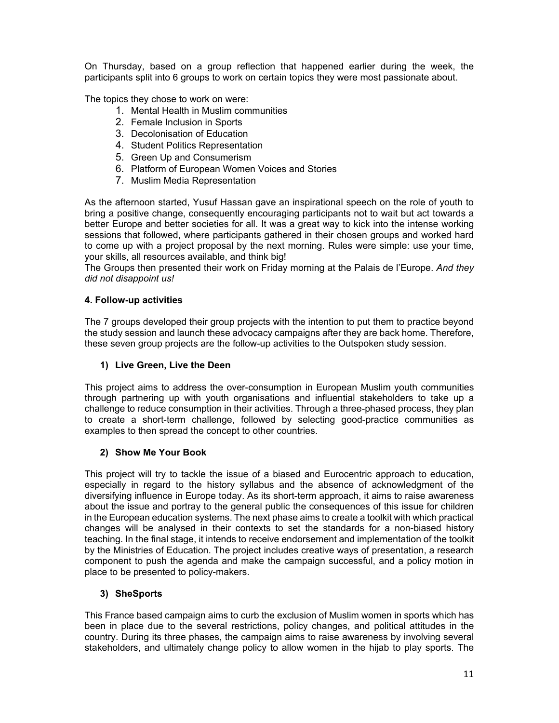On Thursday, based on a group reflection that happened earlier during the week, the participants split into 6 groups to work on certain topics they were most passionate about.

The topics they chose to work on were:

- 1. Mental Health in Muslim communities
- 2. Female Inclusion in Sports
- 3. Decolonisation of Education
- 4. Student Politics Representation
- 5. Green Up and Consumerism
- 6. Platform of European Women Voices and Stories
- 7. Muslim Media Representation

As the afternoon started, Yusuf Hassan gave an inspirational speech on the role of youth to bring a positive change, consequently encouraging participants not to wait but act towards a better Europe and better societies for all. It was a great way to kick into the intense working sessions that followed, where participants gathered in their chosen groups and worked hard to come up with a project proposal by the next morning. Rules were simple: use your time, your skills, all resources available, and think big!

The Groups then presented their work on Friday morning at the Palais de l'Europe. *And they did not disappoint us!*

## **4. Follow-up activities**

The 7 groups developed their group projects with the intention to put them to practice beyond the study session and launch these advocacy campaigns after they are back home. Therefore, these seven group projects are the follow-up activities to the Outspoken study session.

## **1) Live Green, Live the Deen**

This project aims to address the over-consumption in European Muslim youth communities through partnering up with youth organisations and influential stakeholders to take up a challenge to reduce consumption in their activities. Through a three-phased process, they plan to create a short-term challenge, followed by selecting good-practice communities as examples to then spread the concept to other countries.

## **2) Show Me Your Book**

This project will try to tackle the issue of a biased and Eurocentric approach to education, especially in regard to the history syllabus and the absence of acknowledgment of the diversifying influence in Europe today. As its short-term approach, it aims to raise awareness about the issue and portray to the general public the consequences of this issue for children in the European education systems. The next phase aims to create a toolkit with which practical changes will be analysed in their contexts to set the standards for a non-biased history teaching. In the final stage, it intends to receive endorsement and implementation of the toolkit by the Ministries of Education. The project includes creative ways of presentation, a research component to push the agenda and make the campaign successful, and a policy motion in place to be presented to policy-makers.

## **3) SheSports**

This France based campaign aims to curb the exclusion of Muslim women in sports which has been in place due to the several restrictions, policy changes, and political attitudes in the country. During its three phases, the campaign aims to raise awareness by involving several stakeholders, and ultimately change policy to allow women in the hijab to play sports. The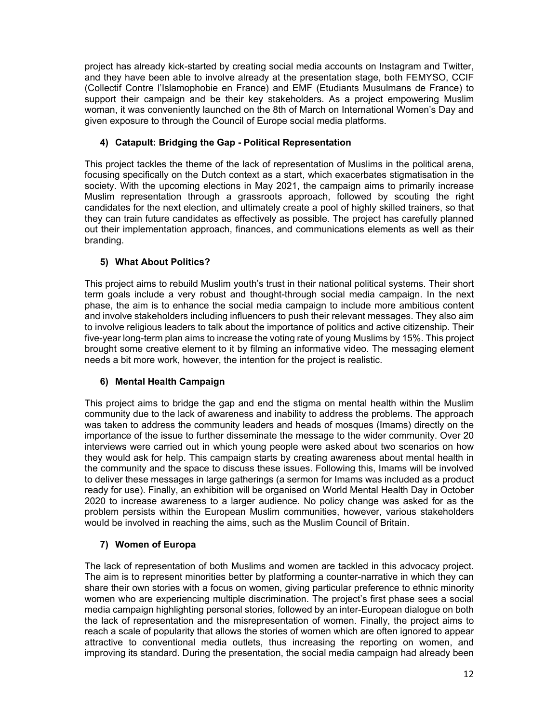project has already kick-started by creating social media accounts on Instagram and Twitter, and they have been able to involve already at the presentation stage, both FEMYSO, CCIF (Collectif Contre l'Islamophobie en France) and EMF (Etudiants Musulmans de France) to support their campaign and be their key stakeholders. As a project empowering Muslim woman, it was conveniently launched on the 8th of March on International Women's Day and given exposure to through the Council of Europe social media platforms.

## **4) Catapult: Bridging the Gap - Political Representation**

This project tackles the theme of the lack of representation of Muslims in the political arena, focusing specifically on the Dutch context as a start, which exacerbates stigmatisation in the society. With the upcoming elections in May 2021, the campaign aims to primarily increase Muslim representation through a grassroots approach, followed by scouting the right candidates for the next election, and ultimately create a pool of highly skilled trainers, so that they can train future candidates as effectively as possible. The project has carefully planned out their implementation approach, finances, and communications elements as well as their branding.

## **5) What About Politics?**

This project aims to rebuild Muslim youth's trust in their national political systems. Their short term goals include a very robust and thought-through social media campaign. In the next phase, the aim is to enhance the social media campaign to include more ambitious content and involve stakeholders including influencers to push their relevant messages. They also aim to involve religious leaders to talk about the importance of politics and active citizenship. Their five-year long-term plan aims to increase the voting rate of young Muslims by 15%. This project brought some creative element to it by filming an informative video. The messaging element needs a bit more work, however, the intention for the project is realistic.

## **6) Mental Health Campaign**

This project aims to bridge the gap and end the stigma on mental health within the Muslim community due to the lack of awareness and inability to address the problems. The approach was taken to address the community leaders and heads of mosques (Imams) directly on the importance of the issue to further disseminate the message to the wider community. Over 20 interviews were carried out in which young people were asked about two scenarios on how they would ask for help. This campaign starts by creating awareness about mental health in the community and the space to discuss these issues. Following this, Imams will be involved to deliver these messages in large gatherings (a sermon for Imams was included as a product ready for use). Finally, an exhibition will be organised on World Mental Health Day in October 2020 to increase awareness to a larger audience. No policy change was asked for as the problem persists within the European Muslim communities, however, various stakeholders would be involved in reaching the aims, such as the Muslim Council of Britain.

## **7) Women of Europa**

The lack of representation of both Muslims and women are tackled in this advocacy project. The aim is to represent minorities better by platforming a counter-narrative in which they can share their own stories with a focus on women, giving particular preference to ethnic minority women who are experiencing multiple discrimination. The project's first phase sees a social media campaign highlighting personal stories, followed by an inter-European dialogue on both the lack of representation and the misrepresentation of women. Finally, the project aims to reach a scale of popularity that allows the stories of women which are often ignored to appear attractive to conventional media outlets, thus increasing the reporting on women, and improving its standard. During the presentation, the social media campaign had already been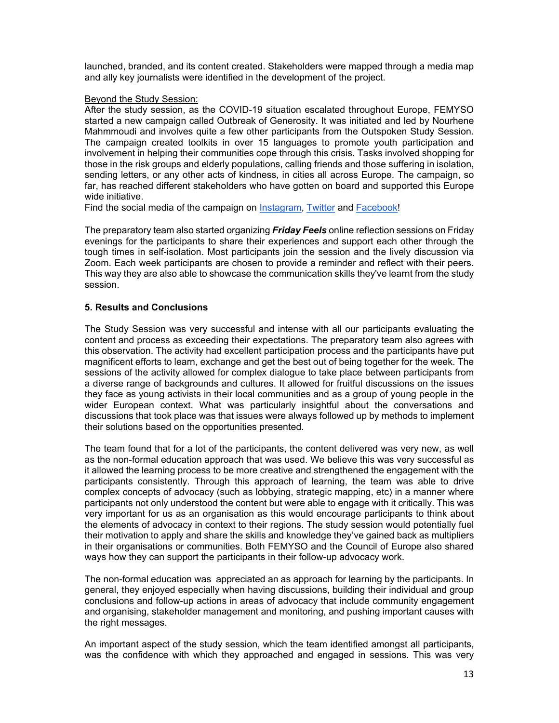launched, branded, and its content created. Stakeholders were mapped through a media map and ally key journalists were identified in the development of the project.

#### Beyond the Study Session:

After the study session, as the COVID-19 situation escalated throughout Europe, FEMYSO started a new campaign called Outbreak of Generosity. It was initiated and led by Nourhene Mahmmoudi and involves quite a few other participants from the Outspoken Study Session. The campaign created toolkits in over 15 languages to promote youth participation and involvement in helping their communities cope through this crisis. Tasks involved shopping for those in the risk groups and elderly populations, calling friends and those suffering in isolation, sending letters, or any other acts of kindness, in cities all across Europe. The campaign, so far, has reached different stakeholders who have gotten on board and supported this Europe wide initiative.

Find the social media of the campaign on Instagram, Twitter and Facebook!

The preparatory team also started organizing *Friday Feels* online reflection sessions on Friday evenings for the participants to share their experiences and support each other through the tough times in self-isolation. Most participants join the session and the lively discussion via Zoom. Each week participants are chosen to provide a reminder and reflect with their peers. This way they are also able to showcase the communication skills they've learnt from the study session.

## **5. Results and Conclusions**

The Study Session was very successful and intense with all our participants evaluating the content and process as exceeding their expectations. The preparatory team also agrees with this observation. The activity had excellent participation process and the participants have put magnificent efforts to learn, exchange and get the best out of being together for the week. The sessions of the activity allowed for complex dialogue to take place between participants from a diverse range of backgrounds and cultures. It allowed for fruitful discussions on the issues they face as young activists in their local communities and as a group of young people in the wider European context. What was particularly insightful about the conversations and discussions that took place was that issues were always followed up by methods to implement their solutions based on the opportunities presented.

The team found that for a lot of the participants, the content delivered was very new, as well as the non-formal education approach that was used. We believe this was very successful as it allowed the learning process to be more creative and strengthened the engagement with the participants consistently. Through this approach of learning, the team was able to drive complex concepts of advocacy (such as lobbying, strategic mapping, etc) in a manner where participants not only understood the content but were able to engage with it critically. This was very important for us as an organisation as this would encourage participants to think about the elements of advocacy in context to their regions. The study session would potentially fuel their motivation to apply and share the skills and knowledge they've gained back as multipliers in their organisations or communities. Both FEMYSO and the Council of Europe also shared ways how they can support the participants in their follow-up advocacy work.

The non-formal education was appreciated an as approach for learning by the participants. In general, they enjoyed especially when having discussions, building their individual and group conclusions and follow-up actions in areas of advocacy that include community engagement and organising, stakeholder management and monitoring, and pushing important causes with the right messages.

An important aspect of the study session, which the team identified amongst all participants, was the confidence with which they approached and engaged in sessions. This was very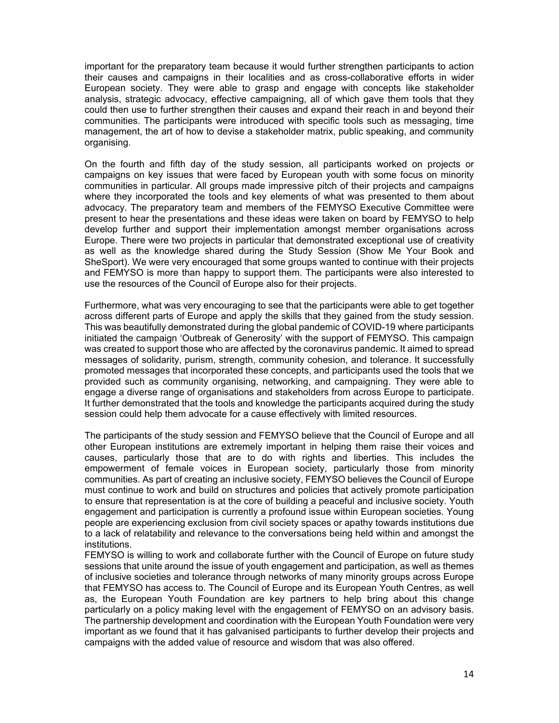important for the preparatory team because it would further strengthen participants to action their causes and campaigns in their localities and as cross-collaborative efforts in wider European society. They were able to grasp and engage with concepts like stakeholder analysis, strategic advocacy, effective campaigning, all of which gave them tools that they could then use to further strengthen their causes and expand their reach in and beyond their communities. The participants were introduced with specific tools such as messaging, time management, the art of how to devise a stakeholder matrix, public speaking, and community organising.

On the fourth and fifth day of the study session, all participants worked on projects or campaigns on key issues that were faced by European youth with some focus on minority communities in particular. All groups made impressive pitch of their projects and campaigns where they incorporated the tools and key elements of what was presented to them about advocacy. The preparatory team and members of the FEMYSO Executive Committee were present to hear the presentations and these ideas were taken on board by FEMYSO to help develop further and support their implementation amongst member organisations across Europe. There were two projects in particular that demonstrated exceptional use of creativity as well as the knowledge shared during the Study Session (Show Me Your Book and SheSport). We were very encouraged that some groups wanted to continue with their projects and FEMYSO is more than happy to support them. The participants were also interested to use the resources of the Council of Europe also for their projects.

Furthermore, what was very encouraging to see that the participants were able to get together across different parts of Europe and apply the skills that they gained from the study session. This was beautifully demonstrated during the global pandemic of COVID-19 where participants initiated the campaign 'Outbreak of Generosity' with the support of FEMYSO. This campaign was created to support those who are affected by the coronavirus pandemic. It aimed to spread messages of solidarity, purism, strength, community cohesion, and tolerance. It successfully promoted messages that incorporated these concepts, and participants used the tools that we provided such as community organising, networking, and campaigning. They were able to engage a diverse range of organisations and stakeholders from across Europe to participate. It further demonstrated that the tools and knowledge the participants acquired during the study session could help them advocate for a cause effectively with limited resources.

The participants of the study session and FEMYSO believe that the Council of Europe and all other European institutions are extremely important in helping them raise their voices and causes, particularly those that are to do with rights and liberties. This includes the empowerment of female voices in European society, particularly those from minority communities. As part of creating an inclusive society, FEMYSO believes the Council of Europe must continue to work and build on structures and policies that actively promote participation to ensure that representation is at the core of building a peaceful and inclusive society. Youth engagement and participation is currently a profound issue within European societies. Young people are experiencing exclusion from civil society spaces or apathy towards institutions due to a lack of relatability and relevance to the conversations being held within and amongst the institutions.

FEMYSO is willing to work and collaborate further with the Council of Europe on future study sessions that unite around the issue of youth engagement and participation, as well as themes of inclusive societies and tolerance through networks of many minority groups across Europe that FEMYSO has access to. The Council of Europe and its European Youth Centres, as well as, the European Youth Foundation are key partners to help bring about this change particularly on a policy making level with the engagement of FEMYSO on an advisory basis. The partnership development and coordination with the European Youth Foundation were very important as we found that it has galvanised participants to further develop their projects and campaigns with the added value of resource and wisdom that was also offered.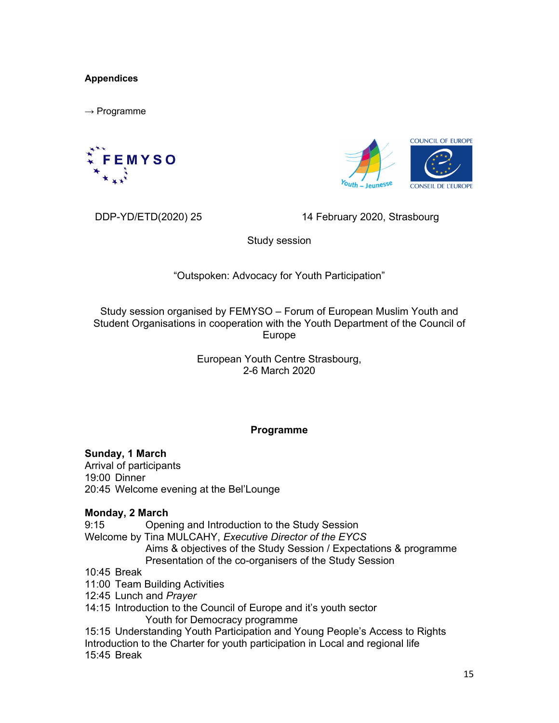## **Appendices**

 $\rightarrow$  Programme





DDP-YD/ETD(2020) 25 14 February 2020, Strasbourg

Study session

## "Outspoken: Advocacy for Youth Participation"

Study session organised by FEMYSO – Forum of European Muslim Youth and Student Organisations in cooperation with the Youth Department of the Council of Europe

> European Youth Centre Strasbourg, 2-6 March 2020

## **Programme**

**Sunday, 1 March**  Arrival of participants 19:00 Dinner 20:45 Welcome evening at the Bel'Lounge

## **Monday, 2 March**

9:15 Opening and Introduction to the Study Session Welcome by Tina MULCAHY, *Executive Director of the EYCS* Aims & objectives of the Study Session / Expectations & programme Presentation of the co-organisers of the Study Session 10:45 Break 11:00 Team Building Activities 12:45 Lunch and *Prayer* 

14:15 Introduction to the Council of Europe and it's youth sector Youth for Democracy programme

15:15 Understanding Youth Participation and Young People's Access to Rights Introduction to the Charter for youth participation in Local and regional life 15:45 Break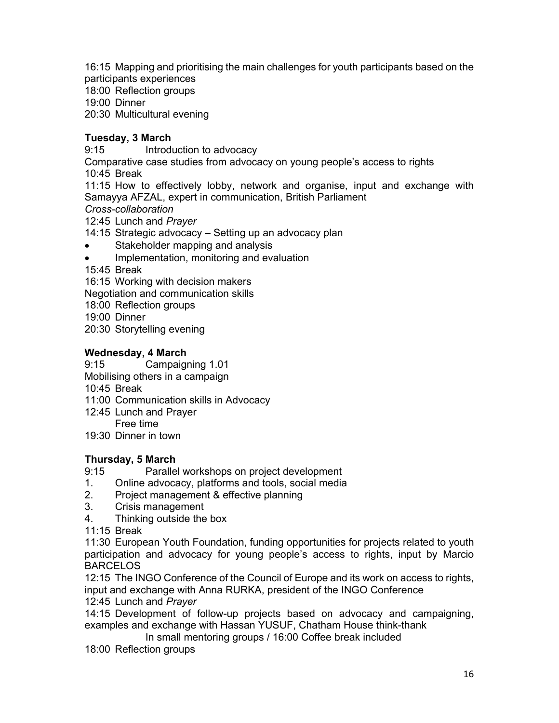16:15 Mapping and prioritising the main challenges for youth participants based on the participants experiences

18:00 Reflection groups

19:00 Dinner

20:30 Multicultural evening

## **Tuesday, 3 March**

9:15 Introduction to advocacy

Comparative case studies from advocacy on young people's access to rights

10:45 Break

11:15 How to effectively lobby, network and organise, input and exchange with Samayya AFZAL, expert in communication, British Parliament

*Cross-collaboration* 

12:45 Lunch and *Prayer* 

- 14:15 Strategic advocacy Setting up an advocacy plan
- Stakeholder mapping and analysis
- Implementation, monitoring and evaluation
- 15:45 Break

16:15 Working with decision makers

Negotiation and communication skills

- 18:00 Reflection groups
- 19:00 Dinner
- 20:30 Storytelling evening

## **Wednesday, 4 March**

9:15 Campaigning 1.01

Mobilising others in a campaign

10:45 Break

- 11:00 Communication skills in Advocacy
- 12:45 Lunch and Prayer Free time
- 19:30 Dinner in town

## **Thursday, 5 March**

9:15 Parallel workshops on project development

- 1. Online advocacy, platforms and tools, social media
- 2. Project management & effective planning
- 3. Crisis management
- 4. Thinking outside the box

11:15 Break

11:30 European Youth Foundation, funding opportunities for projects related to youth participation and advocacy for young people's access to rights, input by Marcio BARCELOS

12:15 The INGO Conference of the Council of Europe and its work on access to rights, input and exchange with Anna RURKA, president of the INGO Conference

12:45 Lunch and *Prayer* 

14:15 Development of follow-up projects based on advocacy and campaigning, examples and exchange with Hassan YUSUF, Chatham House think-thank

In small mentoring groups / 16:00 Coffee break included

18:00 Reflection groups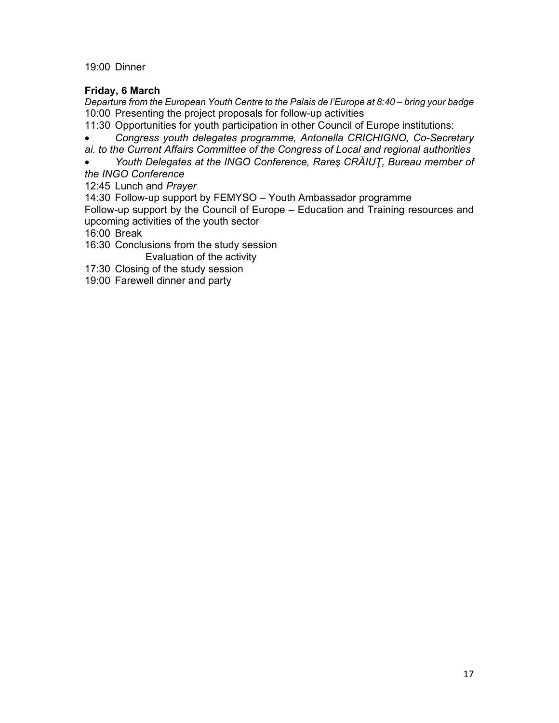19:00 Dinner

## **Friday, 6 March**

*Departure from the European Youth Centre to the Palais de l'Europe at 8:40 – bring your badge*  10:00 Presenting the project proposals for follow-up activities

- 11:30 Opportunities for youth participation in other Council of Europe institutions:
- *Congress youth delegates programme, Antonella CRICHIGNO, Co-Secretary*

*ai. to the Current Affairs Committee of the Congress of Local and regional authorities* 

 *Youth Delegates at the INGO Conference, Rareş CRĂIUŢ, Bureau member of the INGO Conference* 

12:45 Lunch and *Prayer* 

14:30 Follow-up support by FEMYSO – Youth Ambassador programme

Follow-up support by the Council of Europe – Education and Training resources and upcoming activities of the youth sector

16:00 Break

16:30 Conclusions from the study session

Evaluation of the activity

17:30 Closing of the study session

19:00 Farewell dinner and party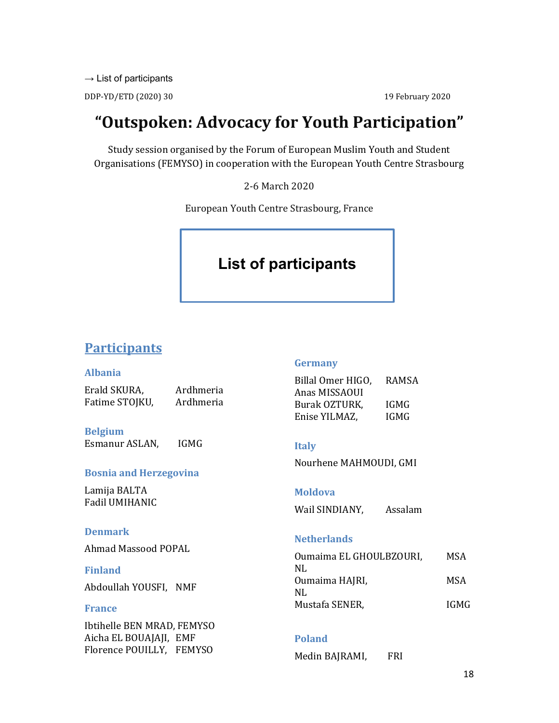$\rightarrow$  List of participants

DDP-YD/ETD (2020) 30 19 February 2020

# **"Outspoken: Advocacy for Youth Participation"**

Study session organised by the Forum of European Muslim Youth and Student Organisations (FEMYSO) in cooperation with the European Youth Centre Strasbourg

2-6 March 2020

European Youth Centre Strasbourg, France

# **List of participants**

# **Participants**

#### **Albania** Erald SKURA, Ardhmeria Fatime STOJKU, Ardhmeria **Belgium** Esmanur ASLAN, IGMG **Bosnia and Herzegovina** Lamija BALTA Fadil UMIHANIC **Denmark** Ahmad Massood POPAL **Finland** Abdoullah YOUSFI, NMF **France** Ibtihelle BEN MRAD, FEMYSO Aicha EL BOUAJAJI, EMF Florence POUILLY, FEMYSO **Germany** Billal Omer HIGO, RAMSA Anas MISSAOUI Burak OZTURK, IGMG Enise YILMAZ, IGMG **Italy** Nourhene MAHMOUDI, GMI **Moldova** Wail SINDIANY, Assalam **Netherlands** Oumaima EL GHOULBZOURI, MSA NL Oumaima HAJRI, MSA NL Mustafa SENER, IGMG **Poland** Medin BAJRAMI, FRI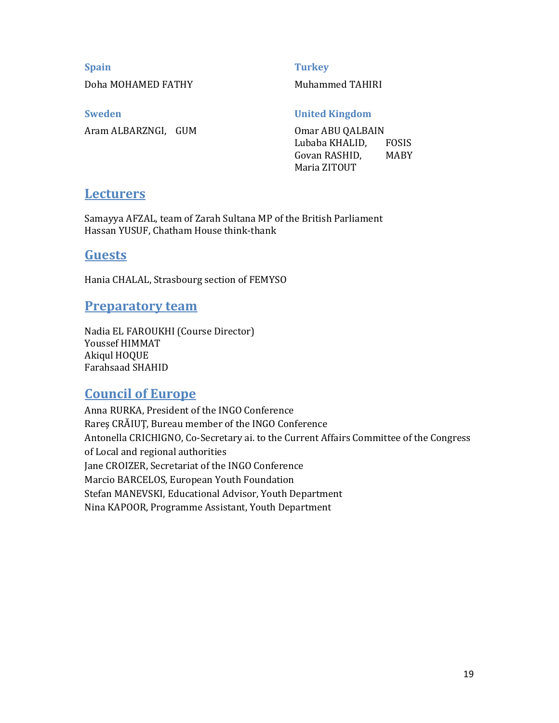## **Spain**

Doha MOHAMED FATHY

**Turkey**

Muhammed TAHIRI

**Sweden** Aram ALBARZNGI, GUM **United Kingdom**

Omar ABU QALBAIN Lubaba KHALID, FOSIS Govan RASHID, MABY Maria ZITOUT

## **Lecturers**

Samayya AFZAL, team of Zarah Sultana MP of the British Parliament Hassan YUSUF, Chatham House think-thank

## **Guests**

Hania CHALAL, Strasbourg section of FEMYSO

## **Preparatory team**

Nadia EL FAROUKHI (Course Director) Youssef HIMMAT Akiqul HOQUE Farahsaad SHAHID

# **Council of Europe**

Anna RURKA, President of the INGO Conference Rareş CRĂIUŢ, Bureau member of the INGO Conference Antonella CRICHIGNO, Co-Secretary ai. to the Current Affairs Committee of the Congress of Local and regional authorities Jane CROIZER, Secretariat of the INGO Conference Marcio BARCELOS, European Youth Foundation Stefan MANEVSKI, Educational Advisor, Youth Department Nina KAPOOR, Programme Assistant, Youth Department